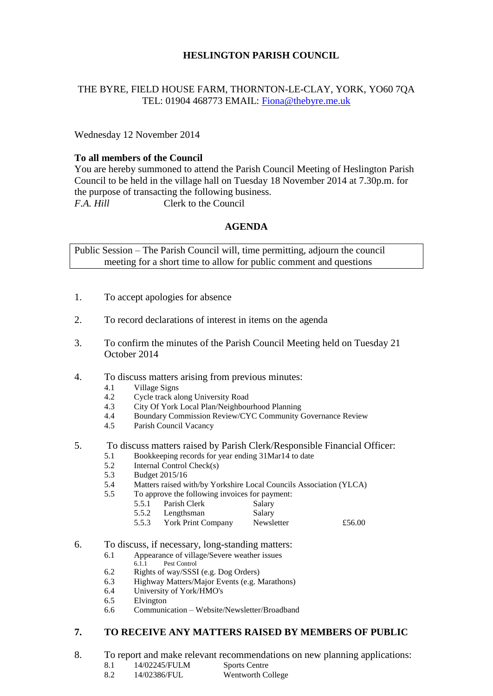## **HESLINGTON PARISH COUNCIL**

## THE BYRE, FIELD HOUSE FARM, THORNTON-LE-CLAY, YORK, YO60 7QA TEL: 01904 468773 EMAIL: [Fiona@thebyre.me.uk](mailto:Fiona@thebyre.me.uk)

Wednesday 12 November 2014

## **To all members of the Council**

You are hereby summoned to attend the Parish Council Meeting of Heslington Parish Council to be held in the village hall on Tuesday 18 November 2014 at 7.30p.m. for the purpose of transacting the following business. *F.A. Hill* Clerk to the Council

## **AGENDA**

Public Session – The Parish Council will, time permitting, adjourn the council meeting for a short time to allow for public comment and questions

- 1. To accept apologies for absence
- 2. To record declarations of interest in items on the agenda
- 3. To confirm the minutes of the Parish Council Meeting held on Tuesday 21 October 2014
- 4. To discuss matters arising from previous minutes:
	- 4.1 Village Signs
	- 4.2 Cycle track along University Road
	- 4.3 City Of York Local Plan/Neighbourhood Planning
	- 4.4 Boundary Commission Review/CYC Community Governance Review
	- 4.5 Parish Council Vacancy

#### 5. To discuss matters raised by Parish Clerk/Responsible Financial Officer:

- 5.1 Bookkeeping records for year ending 31Mar14 to date
- 5.2 Internal Control Check(s)
- 5.3 Budget 2015/16
- 5.4 Matters raised with/by Yorkshire Local Councils Association (YLCA)
- 5.5 To approve the following invoices for payment:
	- 5.5.1 Parish Clerk Salary
	- 5.5.2 Lengthsman Salary
	- 5.5.3 York Print Company Newsletter £56.00
- 6. To discuss, if necessary, long-standing matters:
	- 6.1 Appearance of village/Severe weather issues
	- 6.1.1 Pest Control
	- 6.2 Rights of way/SSSI (e.g. Dog Orders)
	- 6.3 Highway Matters/Major Events (e.g. Marathons)
	- 6.4 University of York/HMO's
	- 6.5 Elvington
	- 6.6 Communication Website/Newsletter/Broadband

# **7. TO RECEIVE ANY MATTERS RAISED BY MEMBERS OF PUBLIC**

- 8. To report and make relevant recommendations on new planning applications:
	- 8.1 14/02245/FULM Sports Centre
	- 8.2 14/02386/FUL Wentworth College